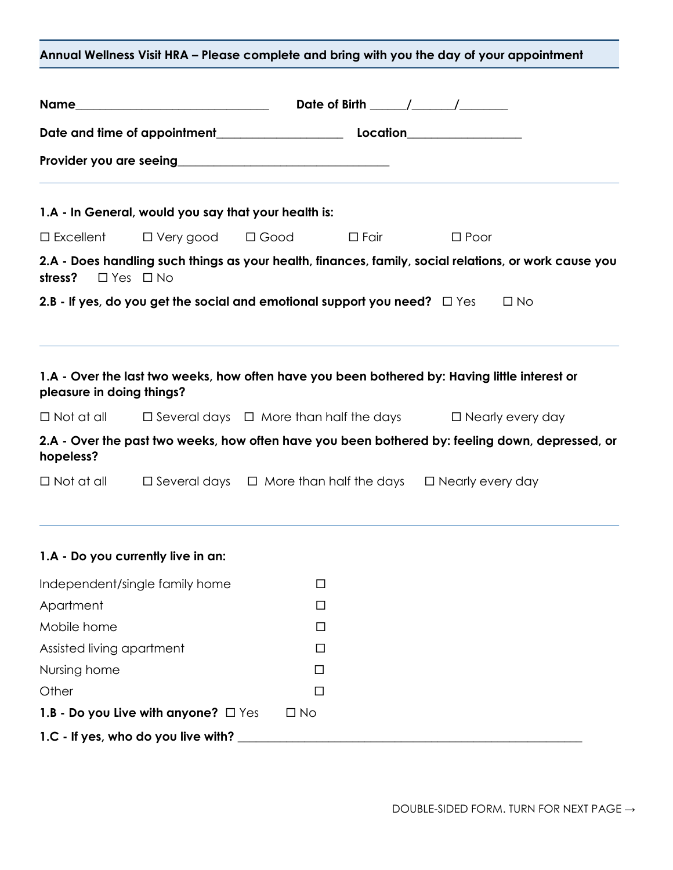| Annual Wellness Visit HRA - Please complete and bring with you the day of your appointment |                                                                                                |                                                                                              |  |  |                                                                                                       |
|--------------------------------------------------------------------------------------------|------------------------------------------------------------------------------------------------|----------------------------------------------------------------------------------------------|--|--|-------------------------------------------------------------------------------------------------------|
|                                                                                            |                                                                                                |                                                                                              |  |  |                                                                                                       |
|                                                                                            |                                                                                                |                                                                                              |  |  |                                                                                                       |
|                                                                                            |                                                                                                |                                                                                              |  |  |                                                                                                       |
|                                                                                            | 1.A - In General, would you say that your health is:                                           |                                                                                              |  |  |                                                                                                       |
|                                                                                            | □ Excellent □ Very good □ Good □ Fair □ Poor                                                   |                                                                                              |  |  |                                                                                                       |
| stress? $\Box$ Yes $\Box$ No                                                               |                                                                                                |                                                                                              |  |  | 2.A - Does handling such things as your health, finances, family, social relations, or work cause you |
|                                                                                            | 2.B - If yes, do you get the social and emotional support you need? $\square$ Yes $\square$ No |                                                                                              |  |  |                                                                                                       |
| pleasure in doing things?                                                                  | 1.A - Over the last two weeks, how often have you been bothered by: Having little interest or  |                                                                                              |  |  |                                                                                                       |
|                                                                                            | $\Box$ Not at all $\Box$ Several days $\Box$ More than half the days $\Box$ Nearly every day   |                                                                                              |  |  |                                                                                                       |
| hopeless?                                                                                  |                                                                                                |                                                                                              |  |  | 2.A - Over the past two weeks, how often have you been bothered by: feeling down, depressed, or       |
|                                                                                            |                                                                                                | $\Box$ Not at all $\Box$ Several days $\Box$ More than half the days $\Box$ Nearly every day |  |  |                                                                                                       |
|                                                                                            | 1.A - Do you currently live in an:                                                             |                                                                                              |  |  |                                                                                                       |
| Independent/single family home                                                             |                                                                                                | □                                                                                            |  |  |                                                                                                       |
| Apartment                                                                                  |                                                                                                | □                                                                                            |  |  |                                                                                                       |
| Mobile home                                                                                |                                                                                                | $\Box$                                                                                       |  |  |                                                                                                       |
| Assisted living apartment                                                                  |                                                                                                | $\Box$                                                                                       |  |  |                                                                                                       |
| Nursing home                                                                               |                                                                                                | □                                                                                            |  |  |                                                                                                       |
| Other                                                                                      | Ш                                                                                              |                                                                                              |  |  |                                                                                                       |
|                                                                                            | 1.B - Do you Live with anyone? $\Box$ Yes                                                      | $\Box$ No                                                                                    |  |  |                                                                                                       |
|                                                                                            | 1.C - If yes, who do you live with?                                                            |                                                                                              |  |  |                                                                                                       |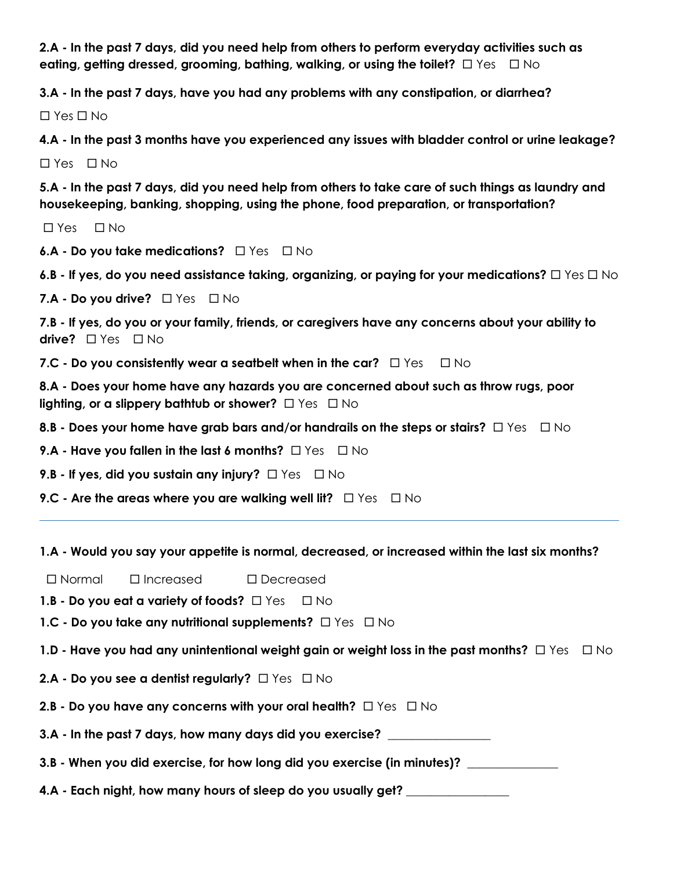**2.A - In the past 7 days, did you need help from others to perform everyday activities such as eating, getting dressed, grooming, bathing, walking, or using the toilet?**  $\Box$  Yes  $\Box$  No

**3.A - In the past 7 days, have you had any problems with any constipation, or diarrhea?**

 $\Box$  Yes  $\Box$  No

**4.A - In the past 3 months have you experienced any issues with bladder control or urine leakage?** 

 $\Box$  Yes  $\Box$  No

**5.A - In the past 7 days, did you need help from others to take care of such things as laundry and housekeeping, banking, shopping, using the phone, food preparation, or transportation?**

 $\Box$  Yes  $\Box$  No

**6.A - Do you take medications?** □ Yes □ No

**6.B -** If yes, do you need assistance taking, organizing, or paying for your medications?  $\Box$  Yes  $\Box$  No

**7.A - Do you drive?** □ Yes □ No

**7.B - If yes, do you or your family, friends, or caregivers have any concerns about your ability to drive?** □ Yes □ No

**7.C - Do you consistently wear a seatbelt when in the car?**  $\Box$  Yes  $\Box$  No

**8.A - Does your home have any hazards you are concerned about such as throw rugs, poor lighting, or a slippery bathtub or shower?**  $\Box$  Yes  $\Box$  No

**8.B - Does your home have grab bars and/or handrails on the steps or stairs?**  $\Box$  Yes  $\Box$  No

**9.A - Have you fallen in the last 6 months?**  $\Box$  Yes  $\Box$  No

**9.B - If yes, did you sustain any injury?**  $\Box$  Yes  $\Box$  No

**9.C - Are the areas where you are walking well lit?**  $\Box$  Yes  $\Box$  No

## **1.A - Would you say your appetite is normal, decreased, or increased within the last six months?**

Normal Increased Decreased

**1.B - Do you eat a variety of foods?**  $\Box$  Yes  $\Box$  No

**1.C - Do you take any nutritional supplements?**  $\Box$  Yes  $\Box$  No

1.D - Have you had any unintentional weight gain or weight loss in the past months?  $\Box$  Yes  $\Box$  No

**2.A - Do you see a dentist regularly?** □ Yes □ No

**2.B - Do you have any concerns with your oral health?**  $\Box$  Yes  $\Box$  No

**3.A - In the past 7 days, how many days did you exercise? \_\_\_\_\_\_\_\_\_\_\_\_\_\_\_\_\_**

**3.B - When you did exercise, for how long did you exercise (in minutes)? \_\_\_\_\_\_\_\_\_\_\_\_\_\_\_**

**4.A - Each night, how many hours of sleep do you usually get? \_\_\_\_\_\_\_\_\_\_\_\_\_\_\_\_\_**